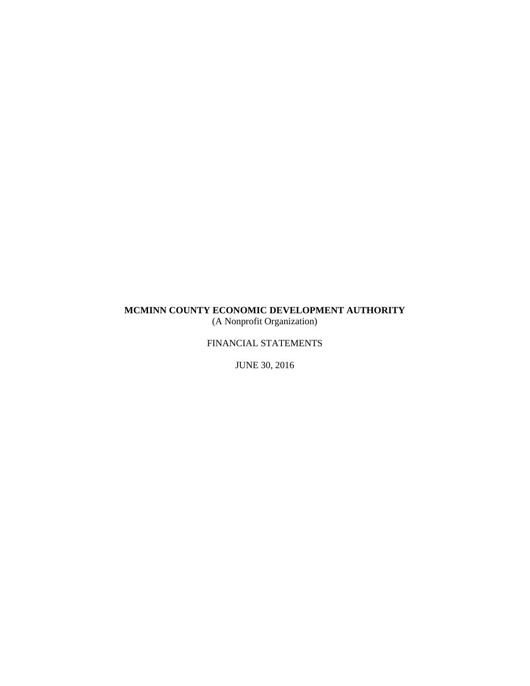## **MCMINN COUNTY ECONOMIC DEVELOPMENT AUTHORITY**  (A Nonprofit Organization)

FINANCIAL STATEMENTS

JUNE 30, 2016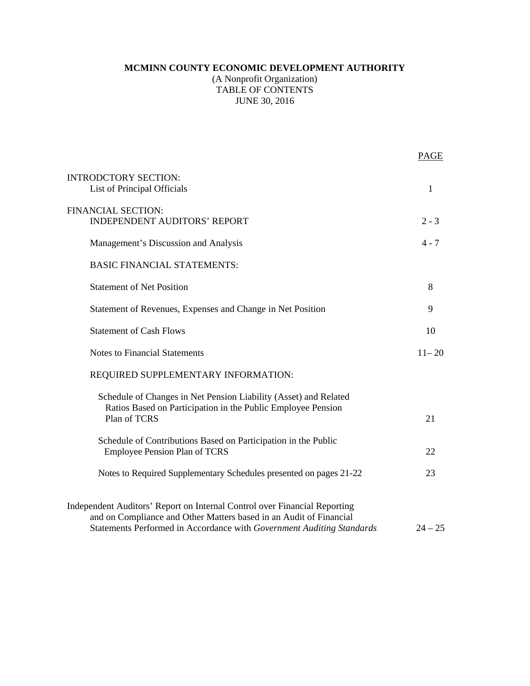## (A Nonprofit Organization) TABLE OF CONTENTS JUNE 30, 2016

|                                                                                                                                                                                                                          | <b>PAGE</b> |
|--------------------------------------------------------------------------------------------------------------------------------------------------------------------------------------------------------------------------|-------------|
| <b>INTRODCTORY SECTION:</b><br>List of Principal Officials                                                                                                                                                               | 1           |
| <b>FINANCIAL SECTION:</b><br>INDEPENDENT AUDITORS' REPORT                                                                                                                                                                | $2 - 3$     |
| Management's Discussion and Analysis                                                                                                                                                                                     | $4 - 7$     |
| <b>BASIC FINANCIAL STATEMENTS:</b>                                                                                                                                                                                       |             |
| <b>Statement of Net Position</b>                                                                                                                                                                                         | 8           |
| Statement of Revenues, Expenses and Change in Net Position                                                                                                                                                               | 9           |
| <b>Statement of Cash Flows</b>                                                                                                                                                                                           | 10          |
| <b>Notes to Financial Statements</b>                                                                                                                                                                                     | $11 - 20$   |
| REQUIRED SUPPLEMENTARY INFORMATION:                                                                                                                                                                                      |             |
| Schedule of Changes in Net Pension Liability (Asset) and Related<br>Ratios Based on Participation in the Public Employee Pension<br>Plan of TCRS                                                                         | 21          |
| Schedule of Contributions Based on Participation in the Public<br><b>Employee Pension Plan of TCRS</b>                                                                                                                   | 22          |
| Notes to Required Supplementary Schedules presented on pages 21-22                                                                                                                                                       | 23          |
| Independent Auditors' Report on Internal Control over Financial Reporting<br>and on Compliance and Other Matters based in an Audit of Financial<br>Statements Performed in Accordance with Government Auditing Standards | $24 - 25$   |
|                                                                                                                                                                                                                          |             |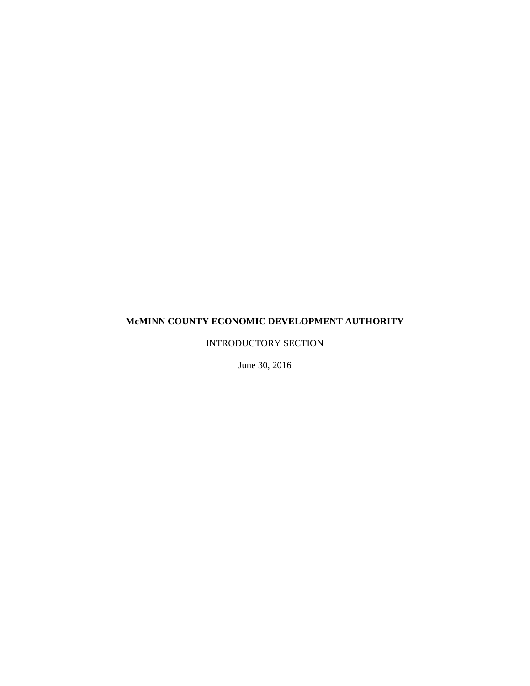INTRODUCTORY SECTION

June 30, 2016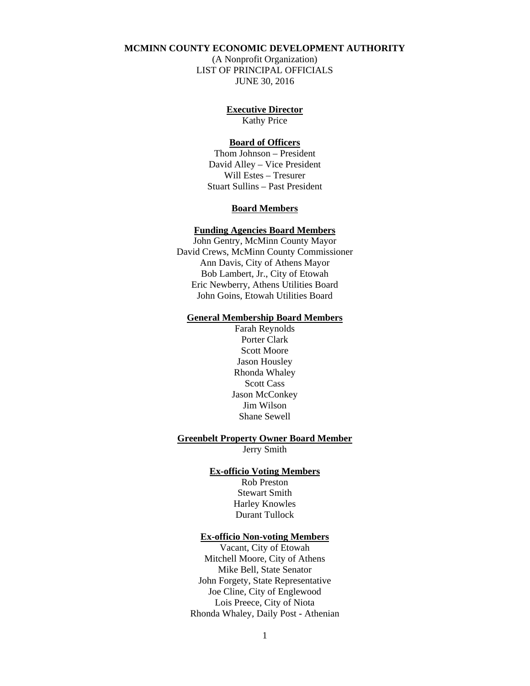(A Nonprofit Organization) LIST OF PRINCIPAL OFFICIALS JUNE 30, 2016

## **Executive Director**

Kathy Price

## **Board of Officers**

Thom Johnson – President David Alley – Vice President Will Estes – Tresurer Stuart Sullins – Past President

#### **Board Members**

## **Funding Agencies Board Members**

John Gentry, McMinn County Mayor David Crews, McMinn County Commissioner Ann Davis, City of Athens Mayor Bob Lambert, Jr., City of Etowah Eric Newberry, Athens Utilities Board John Goins, Etowah Utilities Board

## **General Membership Board Members**

Farah Reynolds Porter Clark Scott Moore Jason Housley Rhonda Whaley Scott Cass Jason McConkey Jim Wilson Shane Sewell

## **Greenbelt Property Owner Board Member**

Jerry Smith

## **Ex-officio Voting Members**

Rob Preston Stewart Smith Harley Knowles Durant Tullock

#### **Ex-officio Non-voting Members**

Vacant, City of Etowah Mitchell Moore, City of Athens Mike Bell, State Senator John Forgety, State Representative Joe Cline, City of Englewood Lois Preece, City of Niota Rhonda Whaley, Daily Post - Athenian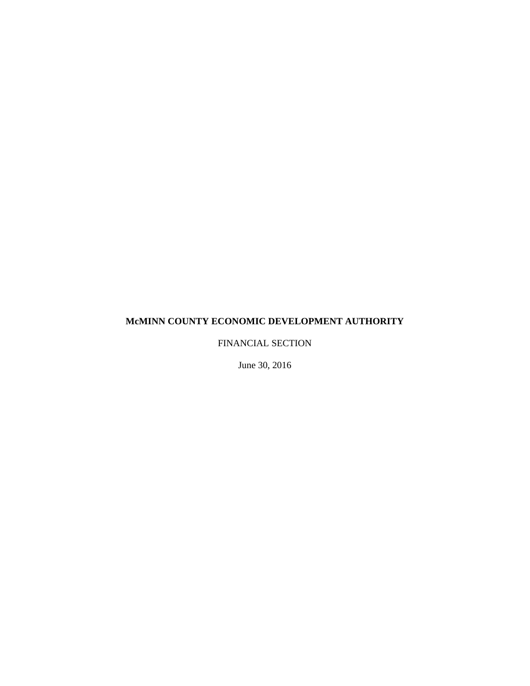FINANCIAL SECTION

June 30, 2016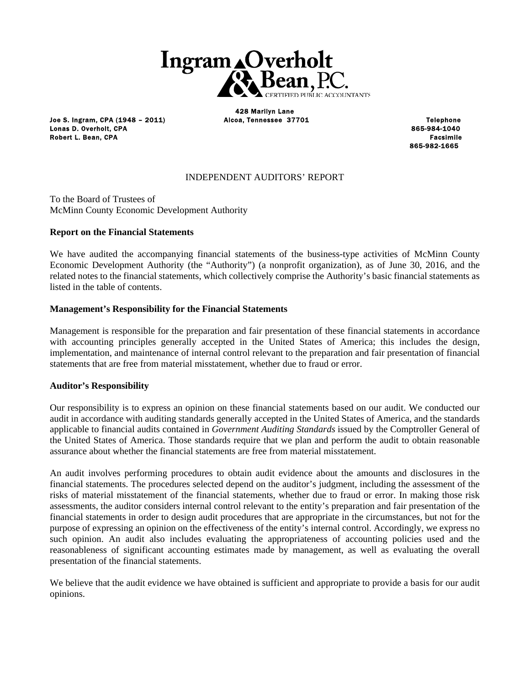

428 Marilyn Lane

Joe S. Ingram, CPA (1948 – 2011) Alcoa, Tennessee 37701 Telephone Lonas D. Overholt, CPA 865-984-1040 Robert L. Bean, CPA Facsimile and the state of the state of the state of the state of the state of the state of the state of the state of the state of the state of the state of the state of the state of the state of the st

865-982-1665

## INDEPENDENT AUDITORS' REPORT

To the Board of Trustees of McMinn County Economic Development Authority

## **Report on the Financial Statements**

We have audited the accompanying financial statements of the business-type activities of McMinn County Economic Development Authority (the "Authority") (a nonprofit organization), as of June 30, 2016, and the related notes to the financial statements, which collectively comprise the Authority's basic financial statements as listed in the table of contents.

## **Management's Responsibility for the Financial Statements**

Management is responsible for the preparation and fair presentation of these financial statements in accordance with accounting principles generally accepted in the United States of America; this includes the design, implementation, and maintenance of internal control relevant to the preparation and fair presentation of financial statements that are free from material misstatement, whether due to fraud or error.

# **Auditor's Responsibility**

Our responsibility is to express an opinion on these financial statements based on our audit. We conducted our audit in accordance with auditing standards generally accepted in the United States of America, and the standards applicable to financial audits contained in *Government Auditing Standards* issued by the Comptroller General of the United States of America. Those standards require that we plan and perform the audit to obtain reasonable assurance about whether the financial statements are free from material misstatement.

An audit involves performing procedures to obtain audit evidence about the amounts and disclosures in the financial statements. The procedures selected depend on the auditor's judgment, including the assessment of the risks of material misstatement of the financial statements, whether due to fraud or error. In making those risk assessments, the auditor considers internal control relevant to the entity's preparation and fair presentation of the financial statements in order to design audit procedures that are appropriate in the circumstances, but not for the purpose of expressing an opinion on the effectiveness of the entity's internal control. Accordingly, we express no such opinion. An audit also includes evaluating the appropriateness of accounting policies used and the reasonableness of significant accounting estimates made by management, as well as evaluating the overall presentation of the financial statements.

We believe that the audit evidence we have obtained is sufficient and appropriate to provide a basis for our audit opinions.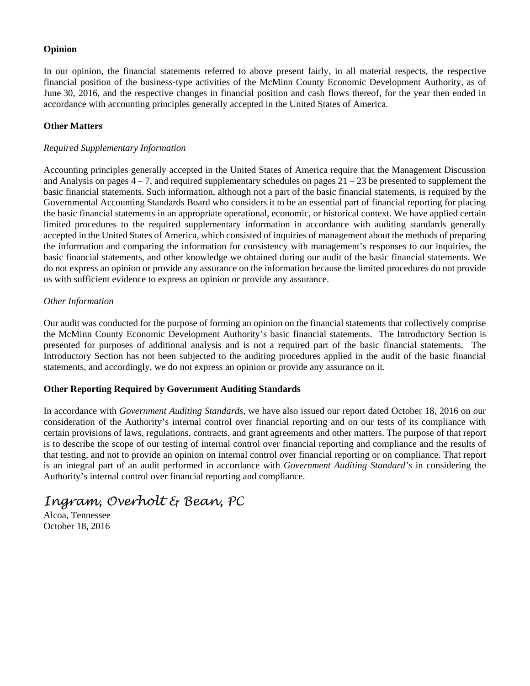## **Opinion**

In our opinion, the financial statements referred to above present fairly, in all material respects, the respective financial position of the business-type activities of the McMinn County Economic Development Authority, as of June 30, 2016, and the respective changes in financial position and cash flows thereof, for the year then ended in accordance with accounting principles generally accepted in the United States of America.

## **Other Matters**

## *Required Supplementary Information*

Accounting principles generally accepted in the United States of America require that the Management Discussion and Analysis on pages  $4 - 7$ , and required supplementary schedules on pages  $21 - 23$  be presented to supplement the basic financial statements. Such information, although not a part of the basic financial statements, is required by the Governmental Accounting Standards Board who considers it to be an essential part of financial reporting for placing the basic financial statements in an appropriate operational, economic, or historical context. We have applied certain limited procedures to the required supplementary information in accordance with auditing standards generally accepted in the United States of America, which consisted of inquiries of management about the methods of preparing the information and comparing the information for consistency with management's responses to our inquiries, the basic financial statements, and other knowledge we obtained during our audit of the basic financial statements. We do not express an opinion or provide any assurance on the information because the limited procedures do not provide us with sufficient evidence to express an opinion or provide any assurance.

## *Other Information*

Our audit was conducted for the purpose of forming an opinion on the financial statements that collectively comprise the McMinn County Economic Development Authority's basic financial statements. The Introductory Section is presented for purposes of additional analysis and is not a required part of the basic financial statements. The Introductory Section has not been subjected to the auditing procedures applied in the audit of the basic financial statements, and accordingly, we do not express an opinion or provide any assurance on it.

# **Other Reporting Required by Government Auditing Standards**

In accordance with *Government Auditing Standards*, we have also issued our report dated October 18, 2016 on our consideration of the Authority's internal control over financial reporting and on our tests of its compliance with certain provisions of laws, regulations, contracts, and grant agreements and other matters. The purpose of that report is to describe the scope of our testing of internal control over financial reporting and compliance and the results of that testing, and not to provide an opinion on internal control over financial reporting or on compliance. That report is an integral part of an audit performed in accordance with *Government Auditing Standard's* in considering the Authority's internal control over financial reporting and compliance.

# *Ingram, Overholt & Bean, PC*

Alcoa, Tennessee October 18, 2016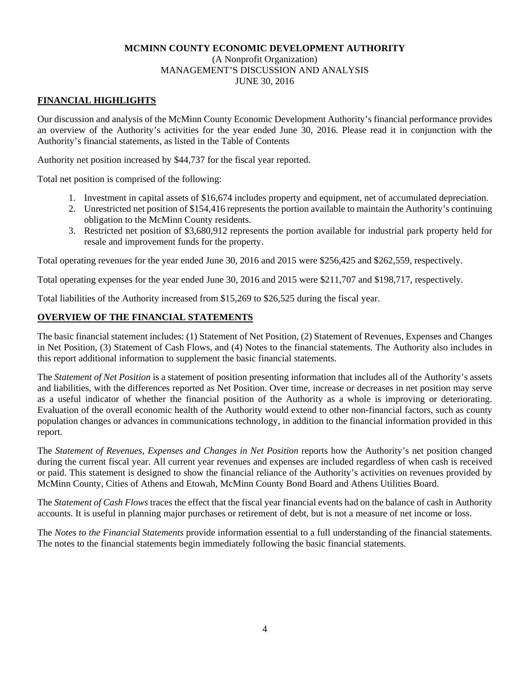# **MCMINN COUNTY ECONOMIC DEVELOPMENT AUTHORITY**  (A Nonprofit Organization) MANAGEMENT'S DISCUSSION AND ANALYSIS JUNE 30, 2016

# **FINANCIAL HIGHLIGHTS**

Our discussion and analysis of the McMinn County Economic Development Authority's financial performance provides an overview of the Authority's activities for the year ended June 30, 2016. Please read it in conjunction with the Authority's financial statements, as listed in the Table of Contents

Authority net position increased by \$44,737 for the fiscal year reported.

Total net position is comprised of the following:

- 1. Investment in capital assets of \$16,674 includes property and equipment, net of accumulated depreciation.
- 2. Unrestricted net position of \$154,416 represents the portion available to maintain the Authority's continuing obligation to the McMinn County residents.
- 3. Restricted net position of \$3,680,912 represents the portion available for industrial park property held for resale and improvement funds for the property.

Total operating revenues for the year ended June 30, 2016 and 2015 were \$256,425 and \$262,559, respectively.

Total operating expenses for the year ended June 30, 2016 and 2015 were \$211,707 and \$198,717, respectively.

Total liabilities of the Authority increased from \$15,269 to \$26,525 during the fiscal year.

# **OVERVIEW OF THE FINANCIAL STATEMENTS**

The basic financial statement includes: (1) Statement of Net Position, (2) Statement of Revenues, Expenses and Changes in Net Position, (3) Statement of Cash Flows, and (4) Notes to the financial statements. The Authority also includes in this report additional information to supplement the basic financial statements.

The *Statement of Net Position* is a statement of position presenting information that includes all of the Authority's assets and liabilities, with the differences reported as Net Position. Over time, increase or decreases in net position may serve as a useful indicator of whether the financial position of the Authority as a whole is improving or deteriorating. Evaluation of the overall economic health of the Authority would extend to other non-financial factors, such as county population changes or advances in communications technology, in addition to the financial information provided in this report.

The *Statement of Revenues, Expenses and Changes in Net Position* reports how the Authority's net position changed during the current fiscal year. All current year revenues and expenses are included regardless of when cash is received or paid. This statement is designed to show the financial reliance of the Authority's activities on revenues provided by McMinn County, Cities of Athens and Etowah, McMinn County Bond Board and Athens Utilities Board.

The *Statement of Cash Flows* traces the effect that the fiscal year financial events had on the balance of cash in Authority accounts. It is useful in planning major purchases or retirement of debt, but is not a measure of net income or loss.

The *Notes to the Financial Statements* provide information essential to a full understanding of the financial statements. The notes to the financial statements begin immediately following the basic financial statements.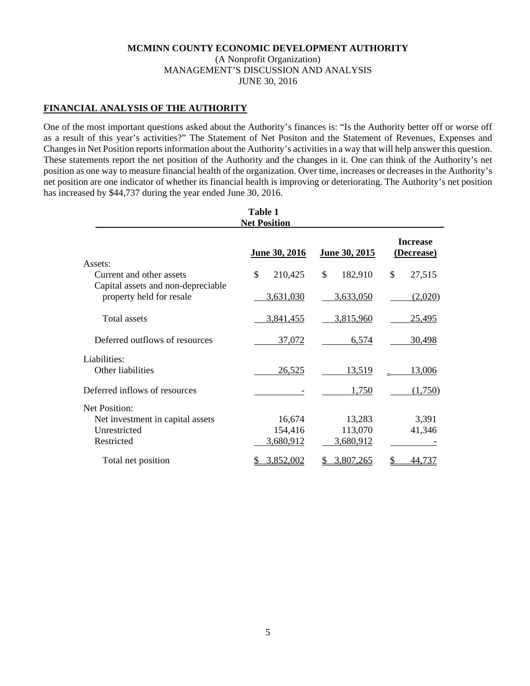# **MCMINN COUNTY ECONOMIC DEVELOPMENT AUTHORITY**  (A Nonprofit Organization) MANAGEMENT'S DISCUSSION AND ANALYSIS

JUNE 30, 2016

## **FINANCIAL ANALYSIS OF THE AUTHORITY**

One of the most important questions asked about the Authority's finances is: "Is the Authority better off or worse off as a result of this year's activities?" The Statement of Net Positon and the Statement of Revenues, Expenses and Changes in Net Position reports information about the Authority's activities in a way that will help answer this question. These statements report the net position of the Authority and the changes in it. One can think of the Authority's net position as one way to measure financial health of the organization. Over time, increases or decreases in the Authority's net position are one indicator of whether its financial health is improving or deteriorating. The Authority's net position has increased by \$44,737 during the year ended June 30, 2016.

|                                                                                        | <b>Table 1</b><br><b>Net Position</b> |                                |                                      |
|----------------------------------------------------------------------------------------|---------------------------------------|--------------------------------|--------------------------------------|
|                                                                                        | <u>June 30, 2016</u>                  | June 30, 2015                  | <b>Increase</b><br><u>(Decrease)</u> |
| Assets:<br>Current and other assets                                                    | \$<br>210,425                         | \$<br>182,910                  | \$<br>27,515                         |
| Capital assets and non-depreciable<br>property held for resale                         | 3,631,030                             | 3,633,050                      | (2,020)                              |
| <b>Total assets</b>                                                                    | 3,841,455                             | 3,815,960                      | <u>25,495</u>                        |
| Deferred outflows of resources                                                         | 37,072                                | 6,574                          | 30,498                               |
| Liabilities:<br>Other liabilities                                                      | 26,525                                | 13,519                         | 13,006                               |
| Deferred inflows of resources                                                          |                                       | 1,750                          | (1,750)                              |
| <b>Net Position:</b><br>Net investment in capital assets<br>Unrestricted<br>Restricted | 16,674<br>154,416<br>3,680,912        | 13,283<br>113,070<br>3,680,912 | 3,391<br>41,346                      |
| Total net position                                                                     | 3,852,002                             | 3,807,265                      | 44.737                               |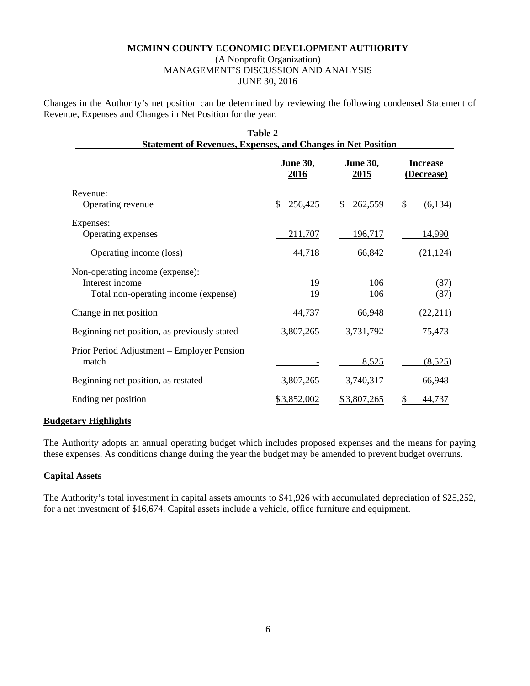## (A Nonprofit Organization) MANAGEMENT'S DISCUSSION AND ANALYSIS JUNE 30, 2016

Changes in the Authority's net position can be determined by reviewing the following condensed Statement of Revenue, Expenses and Changes in Net Position for the year.

| Table 2<br><b>Statement of Revenues, Expenses, and Changes in Net Position</b>             |                                |                         |                               |  |  |
|--------------------------------------------------------------------------------------------|--------------------------------|-------------------------|-------------------------------|--|--|
|                                                                                            | <b>June 30,</b><br><u>2016</u> | <b>June 30,</b><br>2015 | <b>Increase</b><br>(Decrease) |  |  |
| Revenue:<br>Operating revenue                                                              | \$<br>256,425                  | 262,559<br>$\mathbb{S}$ | \$<br>(6, 134)                |  |  |
| Expenses:<br>Operating expenses                                                            | 211,707                        | 196,717                 | 14,990                        |  |  |
| Operating income (loss)                                                                    | 44,718                         | 66,842                  | (21, 124)                     |  |  |
| Non-operating income (expense):<br>Interest income<br>Total non-operating income (expense) | 19<br>19                       | 106<br>106              | (87)<br>(87)                  |  |  |
| Change in net position                                                                     | 44,737                         | 66,948                  | (22,211)                      |  |  |
| Beginning net position, as previously stated                                               | 3,807,265                      | 3,731,792               | 75,473                        |  |  |
| Prior Period Adjustment – Employer Pension<br>match                                        |                                | 8,525                   | (8,525)                       |  |  |
| Beginning net position, as restated                                                        | 3,807,265                      | 3,740,317               | 66,948                        |  |  |
| Ending net position                                                                        | \$3,852,002                    | \$3,807,265             | <u>44,737</u>                 |  |  |

# **Budgetary Highlights**

The Authority adopts an annual operating budget which includes proposed expenses and the means for paying these expenses. As conditions change during the year the budget may be amended to prevent budget overruns.

# **Capital Assets**

The Authority's total investment in capital assets amounts to \$41,926 with accumulated depreciation of \$25,252, for a net investment of \$16,674. Capital assets include a vehicle, office furniture and equipment.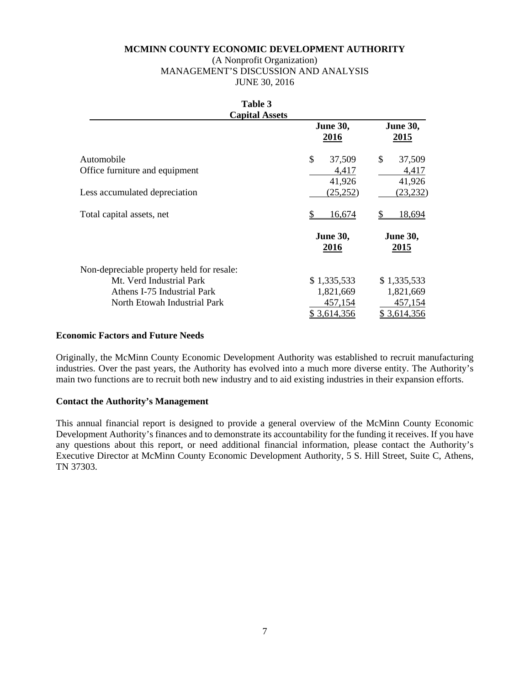## (A Nonprofit Organization) MANAGEMENT'S DISCUSSION AND ANALYSIS JUNE 30, 2016

| Table 3<br><b>Capital Assets</b>          |                         |                                |  |
|-------------------------------------------|-------------------------|--------------------------------|--|
|                                           | <b>June 30,</b><br>2016 | <b>June 30,</b><br>2015        |  |
| Automobile                                | \$<br>37,509            | \$<br>37,509                   |  |
| Office furniture and equipment            | 4,417<br>41,926         | 4,417<br>41,926                |  |
| Less accumulated depreciation             | (25, 252)               | (23, 232)                      |  |
| Total capital assets, net                 | 16,674                  | <u>18,694</u>                  |  |
|                                           | <b>June 30,</b><br>2016 | <b>June 30,</b><br><u>2015</u> |  |
| Non-depreciable property held for resale: |                         |                                |  |
| Mt. Verd Industrial Park                  | \$1,335,533             | \$1,335,533                    |  |
| Athens I-75 Industrial Park               | 1,821,669               | 1,821,669                      |  |
| North Etowah Industrial Park              | 457,154                 | 457,154                        |  |
|                                           | <u>\$3,614,356</u>      | <u>\$3,614,356</u>             |  |

## **Economic Factors and Future Needs**

Originally, the McMinn County Economic Development Authority was established to recruit manufacturing industries. Over the past years, the Authority has evolved into a much more diverse entity. The Authority's main two functions are to recruit both new industry and to aid existing industries in their expansion efforts.

# **Contact the Authority's Management**

This annual financial report is designed to provide a general overview of the McMinn County Economic Development Authority's finances and to demonstrate its accountability for the funding it receives. If you have any questions about this report, or need additional financial information, please contact the Authority's Executive Director at McMinn County Economic Development Authority, 5 S. Hill Street, Suite C, Athens, TN 37303.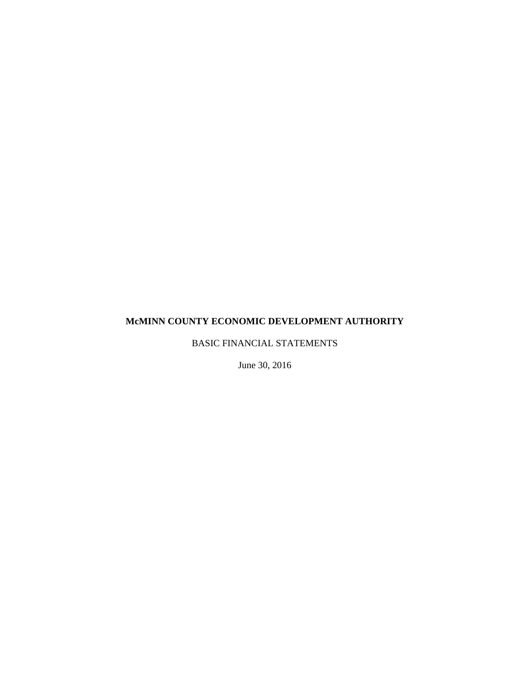BASIC FINANCIAL STATEMENTS

June 30, 2016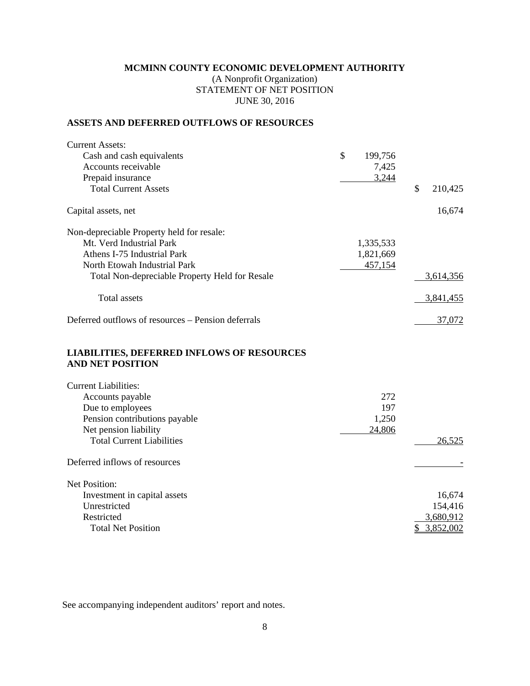# **MCMINN COUNTY ECONOMIC DEVELOPMENT AUTHORITY**  (A Nonprofit Organization)

STATEMENT OF NET POSITION

JUNE 30, 2016

# **ASSETS AND DEFERRED OUTFLOWS OF RESOURCES**

| <b>Current Assets:</b>                                                       |               |                          |
|------------------------------------------------------------------------------|---------------|--------------------------|
| Cash and cash equivalents                                                    | \$<br>199,756 |                          |
| Accounts receivable                                                          | 7,425         |                          |
| Prepaid insurance                                                            | 3,244         |                          |
| <b>Total Current Assets</b>                                                  |               | $\mathcal{S}$<br>210,425 |
| Capital assets, net                                                          |               | 16,674                   |
| Non-depreciable Property held for resale:                                    |               |                          |
| Mt. Verd Industrial Park                                                     | 1,335,533     |                          |
| Athens I-75 Industrial Park                                                  | 1,821,669     |                          |
| North Etowah Industrial Park                                                 | 457,154       |                          |
| Total Non-depreciable Property Held for Resale                               |               | 3,614,356                |
| <b>Total</b> assets                                                          |               | 3,841,455                |
| Deferred outflows of resources – Pension deferrals                           |               | 37,072                   |
| <b>LIABILITIES, DEFERRED INFLOWS OF RESOURCES</b><br><b>AND NET POSITION</b> |               |                          |
| <b>Current Liabilities:</b>                                                  |               |                          |
| Accounts payable                                                             | 272           |                          |
| Due to employees                                                             | 197           |                          |
| Pension contributions payable                                                | 1,250         |                          |
| Net pension liability                                                        | 24,806        |                          |
| <b>Total Current Liabilities</b>                                             |               | 26,525                   |
| Deferred inflows of resources                                                |               |                          |
| Net Position:                                                                |               |                          |
| Investment in capital assets                                                 |               | 16,674                   |
| Unrestricted                                                                 |               | 154,416                  |
| Restricted                                                                   |               | 3,680,912                |
| <b>Total Net Position</b>                                                    |               | 3,852,002<br>\$          |

See accompanying independent auditors' report and notes.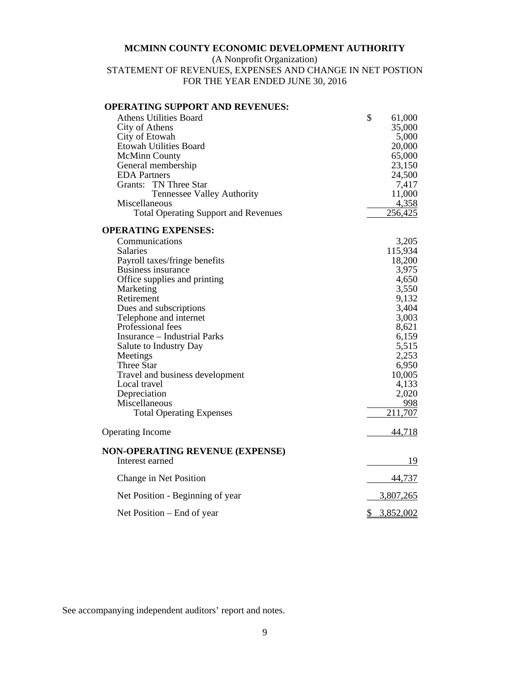# (A Nonprofit Organization) STATEMENT OF REVENUES, EXPENSES AND CHANGE IN NET POSTION FOR THE YEAR ENDED JUNE 30, 2016

## **OPERATING SUPPORT AND REVENUES:**

| Athens Utilities Board                      | \$<br>61,000 |
|---------------------------------------------|--------------|
| City of Athens                              | 35,000       |
| City of Etowah                              | 5,000        |
| <b>Etowah Utilities Board</b>               | 20,000       |
| <b>McMinn County</b>                        | 65,000       |
| General membership                          | 23,150       |
| <b>EDA</b> Partners                         | 24,500       |
| Grants: TN Three Star                       | 7,417        |
| <b>Tennessee Valley Authority</b>           | 11,000       |
| Miscellaneous                               | 4,358        |
| <b>Total Operating Support and Revenues</b> | 256,425      |

## **OPERATING EXPENSES:**

| Communications                      | 3,205       |
|-------------------------------------|-------------|
| <b>Salaries</b>                     | 115,934     |
| Payroll taxes/fringe benefits       | 18,200      |
| Business insurance                  | 3,975       |
| Office supplies and printing        | 4,650       |
| Marketing                           | 3,550       |
| Retirement                          | 9,132       |
| Dues and subscriptions              | 3,404       |
| Telephone and internet              | 3,003       |
| Professional fees                   | 8,621       |
| <b>Insurance</b> – Industrial Parks | 6,159       |
| Salute to Industry Day              | 5,515       |
| Meetings                            | 2,253       |
| Three Star                          | 6,950       |
| Travel and business development     | 10,005      |
| Local travel                        | 4,133       |
| Depreciation                        | 2,020       |
| Miscellaneous                       | 998         |
| <b>Total Operating Expenses</b>     | 211,707     |
| <b>Operating Income</b>             | 44,718      |
| NON-OPERATING REVENUE (EXPENSE)     |             |
| Interest earned                     | 19          |
| Change in Net Position              | 44,737      |
| Net Position - Beginning of year    | 3,807,265   |
| Net Position – End of year          | \$3,852,002 |

See accompanying independent auditors' report and notes.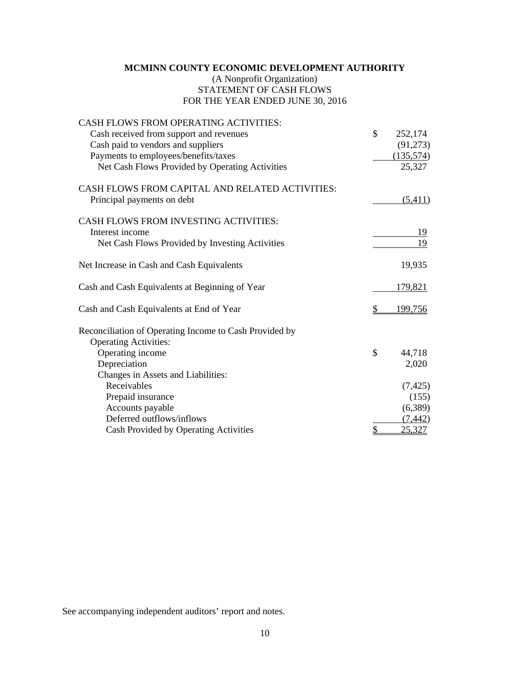# (A Nonprofit Organization) STATEMENT OF CASH FLOWS FOR THE YEAR ENDED JUNE 30, 2016

| CASH FLOWS FROM OPERATING ACTIVITIES:                  |    |           |
|--------------------------------------------------------|----|-----------|
| Cash received from support and revenues                | \$ | 252,174   |
| Cash paid to vendors and suppliers                     |    | (91, 273) |
| Payments to employees/benefits/taxes                   |    | (135,574) |
| Net Cash Flows Provided by Operating Activities        |    | 25,327    |
| CASH FLOWS FROM CAPITAL AND RELATED ACTIVITIES:        |    |           |
| Principal payments on debt                             |    | (5,411)   |
| <b>CASH FLOWS FROM INVESTING ACTIVITIES:</b>           |    |           |
| Interest income                                        |    | 19        |
| Net Cash Flows Provided by Investing Activities        |    | 19        |
| Net Increase in Cash and Cash Equivalents              |    | 19,935    |
| Cash and Cash Equivalents at Beginning of Year         |    | 179,821   |
| Cash and Cash Equivalents at End of Year               | S  | 199,756   |
| Reconciliation of Operating Income to Cash Provided by |    |           |
| <b>Operating Activities:</b>                           |    |           |
| Operating income                                       | \$ | 44,718    |
| Depreciation                                           |    | 2,020     |
| Changes in Assets and Liabilities:                     |    |           |
| Receivables                                            |    | (7, 425)  |
| Prepaid insurance                                      |    | (155)     |
| Accounts payable                                       |    | (6,389)   |
| Deferred outflows/inflows                              |    | (7, 442)  |
| Cash Provided by Operating Activities                  | \$ | 25,327    |

See accompanying independent auditors' report and notes.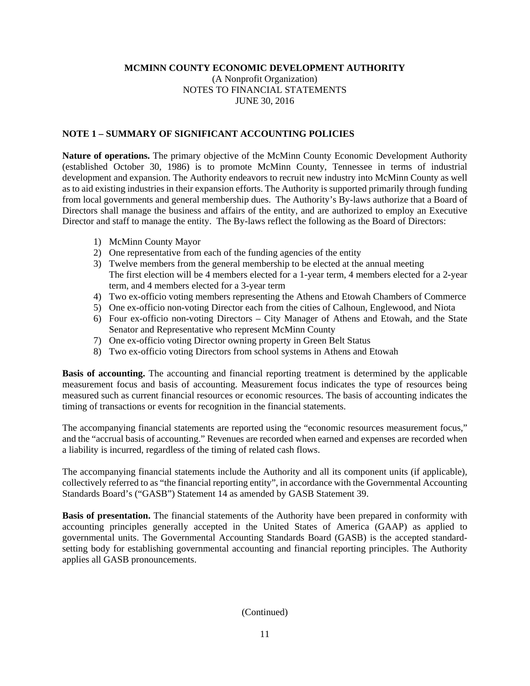(A Nonprofit Organization) NOTES TO FINANCIAL STATEMENTS JUNE 30, 2016

# **NOTE 1 – SUMMARY OF SIGNIFICANT ACCOUNTING POLICIES**

**Nature of operations.** The primary objective of the McMinn County Economic Development Authority (established October 30, 1986) is to promote McMinn County, Tennessee in terms of industrial development and expansion. The Authority endeavors to recruit new industry into McMinn County as well as to aid existing industries in their expansion efforts. The Authority is supported primarily through funding from local governments and general membership dues. The Authority's By-laws authorize that a Board of Directors shall manage the business and affairs of the entity, and are authorized to employ an Executive Director and staff to manage the entity. The By-laws reflect the following as the Board of Directors:

- 1) McMinn County Mayor
- 2) One representative from each of the funding agencies of the entity
- 3) Twelve members from the general membership to be elected at the annual meeting The first election will be 4 members elected for a 1-year term, 4 members elected for a 2-year term, and 4 members elected for a 3-year term
- 4) Two ex-officio voting members representing the Athens and Etowah Chambers of Commerce
- 5) One ex-officio non-voting Director each from the cities of Calhoun, Englewood, and Niota
- 6) Four ex-officio non-voting Directors City Manager of Athens and Etowah, and the State Senator and Representative who represent McMinn County
- 7) One ex-officio voting Director owning property in Green Belt Status
- 8) Two ex-officio voting Directors from school systems in Athens and Etowah

**Basis of accounting.** The accounting and financial reporting treatment is determined by the applicable measurement focus and basis of accounting. Measurement focus indicates the type of resources being measured such as current financial resources or economic resources. The basis of accounting indicates the timing of transactions or events for recognition in the financial statements.

The accompanying financial statements are reported using the "economic resources measurement focus," and the "accrual basis of accounting." Revenues are recorded when earned and expenses are recorded when a liability is incurred, regardless of the timing of related cash flows.

The accompanying financial statements include the Authority and all its component units (if applicable), collectively referred to as "the financial reporting entity", in accordance with the Governmental Accounting Standards Board's ("GASB") Statement 14 as amended by GASB Statement 39.

**Basis of presentation.** The financial statements of the Authority have been prepared in conformity with accounting principles generally accepted in the United States of America (GAAP) as applied to governmental units. The Governmental Accounting Standards Board (GASB) is the accepted standardsetting body for establishing governmental accounting and financial reporting principles. The Authority applies all GASB pronouncements.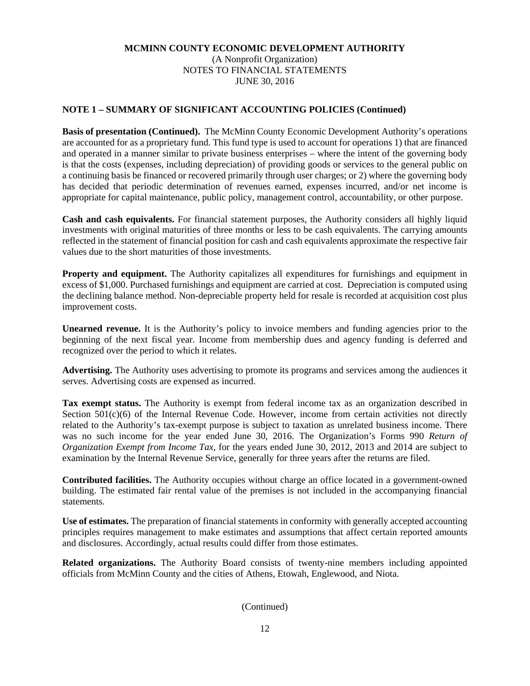# **MCMINN COUNTY ECONOMIC DEVELOPMENT AUTHORITY**  (A Nonprofit Organization) NOTES TO FINANCIAL STATEMENTS JUNE 30, 2016

## **NOTE 1 – SUMMARY OF SIGNIFICANT ACCOUNTING POLICIES (Continued)**

**Basis of presentation (Continued).** The McMinn County Economic Development Authority's operations are accounted for as a proprietary fund. This fund type is used to account for operations 1) that are financed and operated in a manner similar to private business enterprises – where the intent of the governing body is that the costs (expenses, including depreciation) of providing goods or services to the general public on a continuing basis be financed or recovered primarily through user charges; or 2) where the governing body has decided that periodic determination of revenues earned, expenses incurred, and/or net income is appropriate for capital maintenance, public policy, management control, accountability, or other purpose.

**Cash and cash equivalents.** For financial statement purposes, the Authority considers all highly liquid investments with original maturities of three months or less to be cash equivalents. The carrying amounts reflected in the statement of financial position for cash and cash equivalents approximate the respective fair values due to the short maturities of those investments.

**Property and equipment.** The Authority capitalizes all expenditures for furnishings and equipment in excess of \$1,000. Purchased furnishings and equipment are carried at cost. Depreciation is computed using the declining balance method. Non-depreciable property held for resale is recorded at acquisition cost plus improvement costs.

**Unearned revenue.** It is the Authority's policy to invoice members and funding agencies prior to the beginning of the next fiscal year. Income from membership dues and agency funding is deferred and recognized over the period to which it relates.

**Advertising.** The Authority uses advertising to promote its programs and services among the audiences it serves. Advertising costs are expensed as incurred.

**Tax exempt status.** The Authority is exempt from federal income tax as an organization described in Section 501(c)(6) of the Internal Revenue Code. However, income from certain activities not directly related to the Authority's tax-exempt purpose is subject to taxation as unrelated business income. There was no such income for the year ended June 30, 2016. The Organization's Forms 990 *Return of Organization Exempt from Income Tax*, for the years ended June 30, 2012, 2013 and 2014 are subject to examination by the Internal Revenue Service, generally for three years after the returns are filed.

**Contributed facilities.** The Authority occupies without charge an office located in a government-owned building. The estimated fair rental value of the premises is not included in the accompanying financial statements.

**Use of estimates.** The preparation of financial statements in conformity with generally accepted accounting principles requires management to make estimates and assumptions that affect certain reported amounts and disclosures. Accordingly, actual results could differ from those estimates.

**Related organizations.** The Authority Board consists of twenty-nine members including appointed officials from McMinn County and the cities of Athens, Etowah, Englewood, and Niota.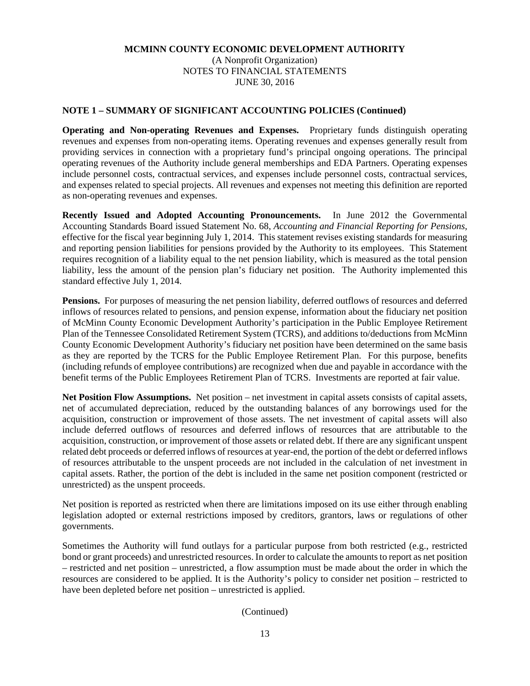# **MCMINN COUNTY ECONOMIC DEVELOPMENT AUTHORITY**  (A Nonprofit Organization) NOTES TO FINANCIAL STATEMENTS JUNE 30, 2016

# **NOTE 1 – SUMMARY OF SIGNIFICANT ACCOUNTING POLICIES (Continued)**

**Operating and Non-operating Revenues and Expenses.** Proprietary funds distinguish operating revenues and expenses from non-operating items. Operating revenues and expenses generally result from providing services in connection with a proprietary fund's principal ongoing operations. The principal operating revenues of the Authority include general memberships and EDA Partners. Operating expenses include personnel costs, contractual services, and expenses include personnel costs, contractual services, and expenses related to special projects. All revenues and expenses not meeting this definition are reported as non-operating revenues and expenses.

**Recently Issued and Adopted Accounting Pronouncements.** In June 2012 the Governmental Accounting Standards Board issued Statement No. 68, *Accounting and Financial Reporting for Pensions,*  effective for the fiscal year beginning July 1, 2014. This statement revises existing standards for measuring and reporting pension liabilities for pensions provided by the Authority to its employees. This Statement requires recognition of a liability equal to the net pension liability, which is measured as the total pension liability, less the amount of the pension plan's fiduciary net position. The Authority implemented this standard effective July 1, 2014.

**Pensions.** For purposes of measuring the net pension liability, deferred outflows of resources and deferred inflows of resources related to pensions, and pension expense, information about the fiduciary net position of McMinn County Economic Development Authority's participation in the Public Employee Retirement Plan of the Tennessee Consolidated Retirement System (TCRS), and additions to/deductions from McMinn County Economic Development Authority's fiduciary net position have been determined on the same basis as they are reported by the TCRS for the Public Employee Retirement Plan. For this purpose, benefits (including refunds of employee contributions) are recognized when due and payable in accordance with the benefit terms of the Public Employees Retirement Plan of TCRS. Investments are reported at fair value.

**Net Position Flow Assumptions.** Net position – net investment in capital assets consists of capital assets, net of accumulated depreciation, reduced by the outstanding balances of any borrowings used for the acquisition, construction or improvement of those assets. The net investment of capital assets will also include deferred outflows of resources and deferred inflows of resources that are attributable to the acquisition, construction, or improvement of those assets or related debt. If there are any significant unspent related debt proceeds or deferred inflows of resources at year-end, the portion of the debt or deferred inflows of resources attributable to the unspent proceeds are not included in the calculation of net investment in capital assets. Rather, the portion of the debt is included in the same net position component (restricted or unrestricted) as the unspent proceeds.

Net position is reported as restricted when there are limitations imposed on its use either through enabling legislation adopted or external restrictions imposed by creditors, grantors, laws or regulations of other governments.

Sometimes the Authority will fund outlays for a particular purpose from both restricted (e.g., restricted bond or grant proceeds) and unrestricted resources. In order to calculate the amounts to report as net position – restricted and net position – unrestricted, a flow assumption must be made about the order in which the resources are considered to be applied. It is the Authority's policy to consider net position – restricted to have been depleted before net position – unrestricted is applied.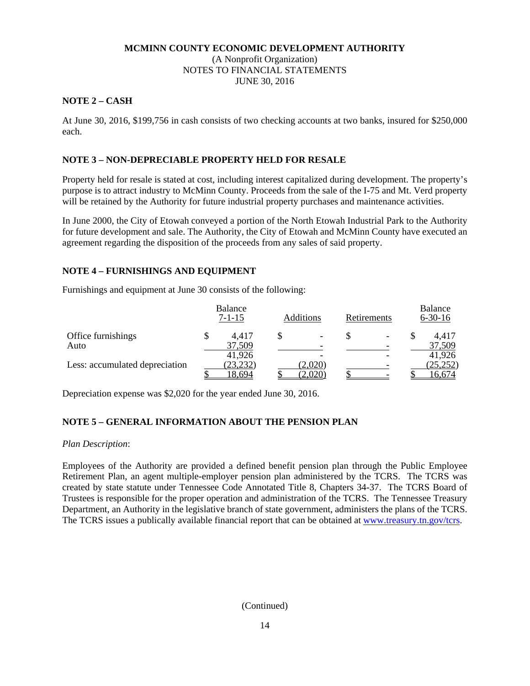## **MCMINN COUNTY ECONOMIC DEVELOPMENT AUTHORITY**  (A Nonprofit Organization) NOTES TO FINANCIAL STATEMENTS

JUNE 30, 2016

# **NOTE 2 – CASH**

At June 30, 2016, \$199,756 in cash consists of two checking accounts at two banks, insured for \$250,000 each.

# **NOTE 3 – NON-DEPRECIABLE PROPERTY HELD FOR RESALE**

Property held for resale is stated at cost, including interest capitalized during development. The property's purpose is to attract industry to McMinn County. Proceeds from the sale of the I-75 and Mt. Verd property will be retained by the Authority for future industrial property purchases and maintenance activities.

In June 2000, the City of Etowah conveyed a portion of the North Etowah Industrial Park to the Authority for future development and sale. The Authority, the City of Etowah and McMinn County have executed an agreement regarding the disposition of the proceeds from any sales of said property.

# **NOTE 4 – FURNISHINGS AND EQUIPMENT**

Furnishings and equipment at June 30 consists of the following:

|                                | <b>Balance</b><br>$7 - 1 - 15$ | <b>Additions</b>         | Retirements | <b>Balance</b><br>$6 - 30 - 16$ |
|--------------------------------|--------------------------------|--------------------------|-------------|---------------------------------|
| Office furnishings             | 4.417                          | $\overline{\phantom{a}}$ | -           | 4.417                           |
| Auto                           | 37,509                         |                          |             | 37,509                          |
|                                | 41,926                         |                          |             | 41,926                          |
| Less: accumulated depreciation | (23, 232)                      | (2,020)                  |             | (25, 252)                       |
|                                | 8.694                          |                          |             | 16.674                          |

Depreciation expense was \$2,020 for the year ended June 30, 2016.

# **NOTE 5 – GENERAL INFORMATION ABOUT THE PENSION PLAN**

# *Plan Description*:

Employees of the Authority are provided a defined benefit pension plan through the Public Employee Retirement Plan, an agent multiple-employer pension plan administered by the TCRS. The TCRS was created by state statute under Tennessee Code Annotated Title 8, Chapters 34-37. The TCRS Board of Trustees is responsible for the proper operation and administration of the TCRS. The Tennessee Treasury Department, an Authority in the legislative branch of state government, administers the plans of the TCRS. The TCRS issues a publically available financial report that can be obtained at www.treasury.tn.gov/tcrs.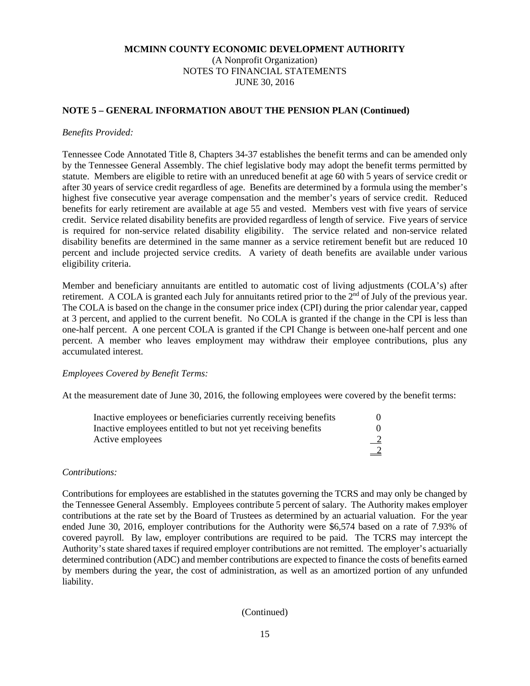#### **MCMINN COUNTY ECONOMIC DEVELOPMENT AUTHORITY**  (A Nonprofit Organization) NOTES TO FINANCIAL STATEMENTS

JUNE 30, 2016

# **NOTE 5 – GENERAL INFORMATION ABOUT THE PENSION PLAN (Continued)**

## *Benefits Provided:*

Tennessee Code Annotated Title 8, Chapters 34-37 establishes the benefit terms and can be amended only by the Tennessee General Assembly. The chief legislative body may adopt the benefit terms permitted by statute. Members are eligible to retire with an unreduced benefit at age 60 with 5 years of service credit or after 30 years of service credit regardless of age. Benefits are determined by a formula using the member's highest five consecutive year average compensation and the member's years of service credit. Reduced benefits for early retirement are available at age 55 and vested. Members vest with five years of service credit. Service related disability benefits are provided regardless of length of service. Five years of service is required for non-service related disability eligibility. The service related and non-service related disability benefits are determined in the same manner as a service retirement benefit but are reduced 10 percent and include projected service credits. A variety of death benefits are available under various eligibility criteria.

Member and beneficiary annuitants are entitled to automatic cost of living adjustments (COLA's) after retirement. A COLA is granted each July for annuitants retired prior to the 2<sup>nd</sup> of July of the previous year. The COLA is based on the change in the consumer price index (CPI) during the prior calendar year, capped at 3 percent, and applied to the current benefit. No COLA is granted if the change in the CPI is less than one-half percent. A one percent COLA is granted if the CPI Change is between one-half percent and one percent. A member who leaves employment may withdraw their employee contributions, plus any accumulated interest.

# *Employees Covered by Benefit Terms:*

At the measurement date of June 30, 2016, the following employees were covered by the benefit terms:

| Inactive employees or beneficiaries currently receiving benefits |  |
|------------------------------------------------------------------|--|
| Inactive employees entitled to but not yet receiving benefits    |  |
| Active employees                                                 |  |
|                                                                  |  |

## *Contributions:*

Contributions for employees are established in the statutes governing the TCRS and may only be changed by the Tennessee General Assembly. Employees contribute 5 percent of salary. The Authority makes employer contributions at the rate set by the Board of Trustees as determined by an actuarial valuation. For the year ended June 30, 2016, employer contributions for the Authority were \$6,574 based on a rate of 7.93% of covered payroll. By law, employer contributions are required to be paid. The TCRS may intercept the Authority's state shared taxes if required employer contributions are not remitted. The employer's actuarially determined contribution (ADC) and member contributions are expected to finance the costs of benefits earned by members during the year, the cost of administration, as well as an amortized portion of any unfunded liability.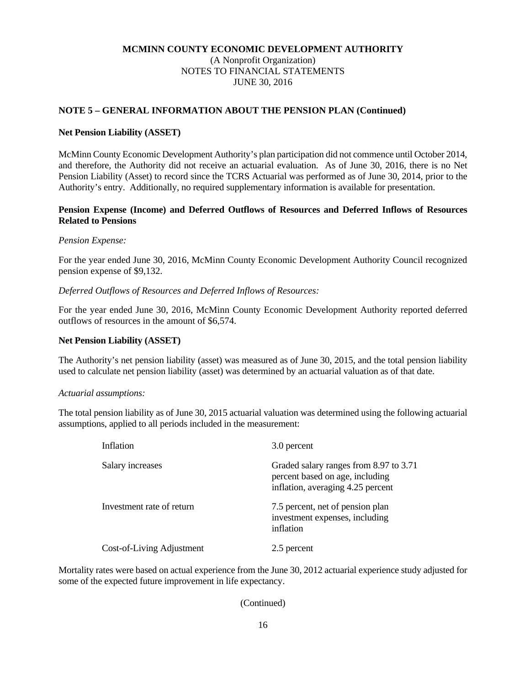# **MCMINN COUNTY ECONOMIC DEVELOPMENT AUTHORITY**  (A Nonprofit Organization) NOTES TO FINANCIAL STATEMENTS JUNE 30, 2016

## **NOTE 5 – GENERAL INFORMATION ABOUT THE PENSION PLAN (Continued)**

## **Net Pension Liability (ASSET)**

McMinn County Economic Development Authority's plan participation did not commence until October 2014, and therefore, the Authority did not receive an actuarial evaluation. As of June 30, 2016, there is no Net Pension Liability (Asset) to record since the TCRS Actuarial was performed as of June 30, 2014, prior to the Authority's entry. Additionally, no required supplementary information is available for presentation.

## **Pension Expense (Income) and Deferred Outflows of Resources and Deferred Inflows of Resources Related to Pensions**

#### *Pension Expense:*

For the year ended June 30, 2016, McMinn County Economic Development Authority Council recognized pension expense of \$9,132.

*Deferred Outflows of Resources and Deferred Inflows of Resources:*

For the year ended June 30, 2016, McMinn County Economic Development Authority reported deferred outflows of resources in the amount of \$6,574.

## **Net Pension Liability (ASSET)**

The Authority's net pension liability (asset) was measured as of June 30, 2015, and the total pension liability used to calculate net pension liability (asset) was determined by an actuarial valuation as of that date.

#### *Actuarial assumptions:*

The total pension liability as of June 30, 2015 actuarial valuation was determined using the following actuarial assumptions, applied to all periods included in the measurement:

| Inflation                 | 3.0 percent                                                                                                    |
|---------------------------|----------------------------------------------------------------------------------------------------------------|
| Salary increases          | Graded salary ranges from 8.97 to 3.71<br>percent based on age, including<br>inflation, averaging 4.25 percent |
| Investment rate of return | 7.5 percent, net of pension plan<br>investment expenses, including<br>inflation                                |
| Cost-of-Living Adjustment | 2.5 percent                                                                                                    |

Mortality rates were based on actual experience from the June 30, 2012 actuarial experience study adjusted for some of the expected future improvement in life expectancy.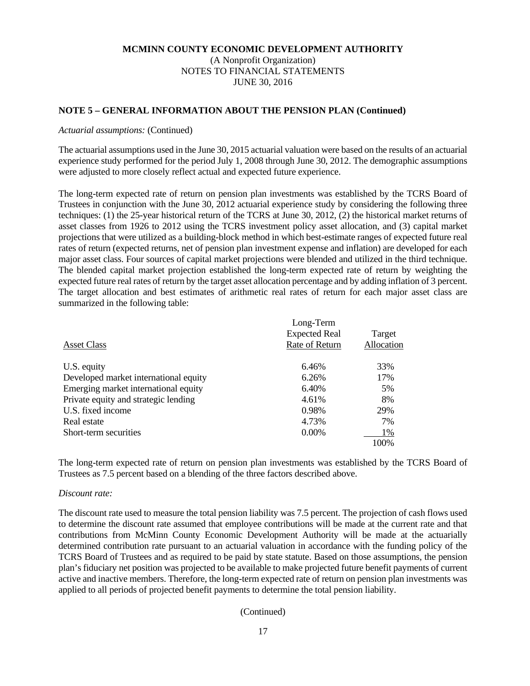## **MCMINN COUNTY ECONOMIC DEVELOPMENT AUTHORITY**  (A Nonprofit Organization) NOTES TO FINANCIAL STATEMENTS JUNE 30, 2016

# **NOTE 5 – GENERAL INFORMATION ABOUT THE PENSION PLAN (Continued)**

#### *Actuarial assumptions:* (Continued)

The actuarial assumptions used in the June 30, 2015 actuarial valuation were based on the results of an actuarial experience study performed for the period July 1, 2008 through June 30, 2012. The demographic assumptions were adjusted to more closely reflect actual and expected future experience.

The long-term expected rate of return on pension plan investments was established by the TCRS Board of Trustees in conjunction with the June 30, 2012 actuarial experience study by considering the following three techniques: (1) the 25-year historical return of the TCRS at June 30, 2012, (2) the historical market returns of asset classes from 1926 to 2012 using the TCRS investment policy asset allocation, and (3) capital market projections that were utilized as a building-block method in which best-estimate ranges of expected future real rates of return (expected returns, net of pension plan investment expense and inflation) are developed for each major asset class. Four sources of capital market projections were blended and utilized in the third technique. The blended capital market projection established the long-term expected rate of return by weighting the expected future real rates of return by the target asset allocation percentage and by adding inflation of 3 percent. The target allocation and best estimates of arithmetic real rates of return for each major asset class are summarized in the following table:

|                                       | Long-Term            |            |
|---------------------------------------|----------------------|------------|
|                                       | <b>Expected Real</b> | Target     |
| <b>Asset Class</b>                    | Rate of Return       | Allocation |
| U.S. equity                           | 6.46%                | 33%        |
| Developed market international equity | 6.26%                | 17%        |
| Emerging market international equity  | 6.40%                | 5%         |
| Private equity and strategic lending  | 4.61%                | 8%         |
| U.S. fixed income                     | 0.98%                | 29%        |
| Real estate                           | 4.73%                | 7%         |
| Short-term securities                 | $0.00\%$             | 1%         |
|                                       |                      | 100%       |

The long-term expected rate of return on pension plan investments was established by the TCRS Board of Trustees as 7.5 percent based on a blending of the three factors described above.

## *Discount rate:*

The discount rate used to measure the total pension liability was 7.5 percent. The projection of cash flows used to determine the discount rate assumed that employee contributions will be made at the current rate and that contributions from McMinn County Economic Development Authority will be made at the actuarially determined contribution rate pursuant to an actuarial valuation in accordance with the funding policy of the TCRS Board of Trustees and as required to be paid by state statute. Based on those assumptions, the pension plan's fiduciary net position was projected to be available to make projected future benefit payments of current active and inactive members. Therefore, the long-term expected rate of return on pension plan investments was applied to all periods of projected benefit payments to determine the total pension liability.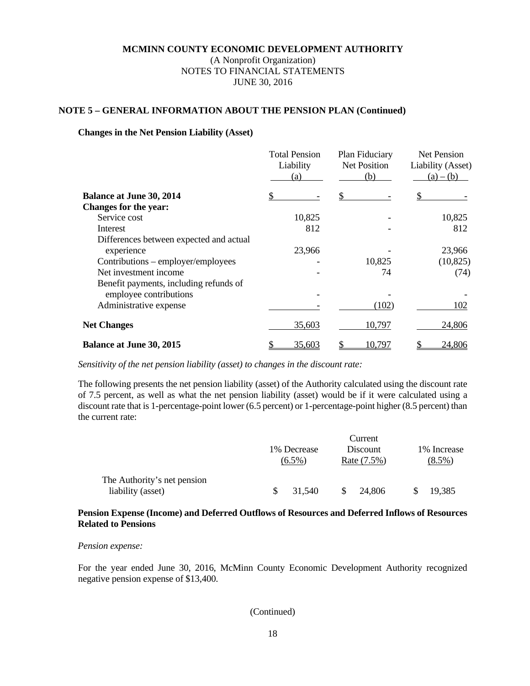## (A Nonprofit Organization) NOTES TO FINANCIAL STATEMENTS JUNE 30, 2016

## **NOTE 5 – GENERAL INFORMATION ABOUT THE PENSION PLAN (Continued)**

#### **Changes in the Net Pension Liability (Asset)**

|                                         | <b>Total Pension</b><br>Liability<br>(a) | Plan Fiduciary<br><b>Net Position</b><br>(b) | Net Pension<br>Liability (Asset)<br>$(a) - (b)$ |
|-----------------------------------------|------------------------------------------|----------------------------------------------|-------------------------------------------------|
| <b>Balance at June 30, 2014</b>         |                                          |                                              |                                                 |
| <b>Changes for the year:</b>            |                                          |                                              |                                                 |
| Service cost                            | 10,825                                   |                                              | 10,825                                          |
| Interest                                | 812                                      |                                              | 812                                             |
| Differences between expected and actual |                                          |                                              |                                                 |
| experience                              | 23,966                                   |                                              | 23,966                                          |
| Contributions – employer/employees      |                                          | 10,825                                       | (10, 825)                                       |
| Net investment income                   |                                          | 74                                           | (74)                                            |
| Benefit payments, including refunds of  |                                          |                                              |                                                 |
| employee contributions                  |                                          |                                              |                                                 |
| Administrative expense                  |                                          | (102)                                        | 102                                             |
| <b>Net Changes</b>                      | 35,603                                   | 10,797                                       | 24,806                                          |
| <b>Balance at June 30, 2015</b>         | 35,603                                   | 10,797                                       | 24,806                                          |

*Sensitivity of the net pension liability (asset) to changes in the discount rate:*

The following presents the net pension liability (asset) of the Authority calculated using the discount rate of 7.5 percent, as well as what the net pension liability (asset) would be if it were calculated using a discount rate that is 1-percentage-point lower (6.5 percent) or 1-percentage-point higher (8.5 percent) than the current rate:

|                             |             | Current       |              |
|-----------------------------|-------------|---------------|--------------|
|                             | 1% Decrease | Discount      | 1\% Increase |
|                             | $(6.5\%)$   | Rate (7.5%)   | $(8.5\%)$    |
| The Authority's net pension | 31.540      | <sup>\$</sup> | 19,385       |
| liability (asset)           | S.          | 24.806        |              |

## **Pension Expense (Income) and Deferred Outflows of Resources and Deferred Inflows of Resources Related to Pensions**

#### *Pension expense:*

For the year ended June 30, 2016, McMinn County Economic Development Authority recognized negative pension expense of \$13,400.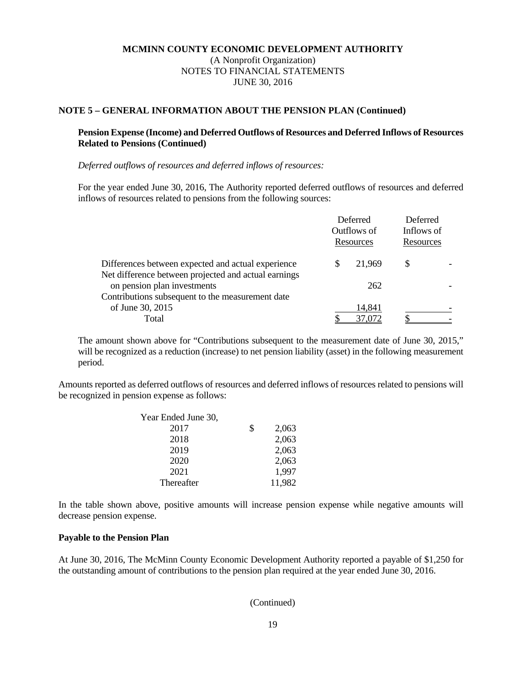# **MCMINN COUNTY ECONOMIC DEVELOPMENT AUTHORITY**  (A Nonprofit Organization) NOTES TO FINANCIAL STATEMENTS JUNE 30, 2016

## **NOTE 5 – GENERAL INFORMATION ABOUT THE PENSION PLAN (Continued)**

## **Pension Expense (Income) and Deferred Outflows of Resources and Deferred Inflows of Resources Related to Pensions (Continued)**

*Deferred outflows of resources and deferred inflows of resources:*

For the year ended June 30, 2016, The Authority reported deferred outflows of resources and deferred inflows of resources related to pensions from the following sources:

|                                                                                     |   | Deferred<br>Outflows of<br>Resources | Deferred<br>Inflows of<br>Resources |  |
|-------------------------------------------------------------------------------------|---|--------------------------------------|-------------------------------------|--|
| Differences between expected and actual experience                                  | S | 21.969                               | \$                                  |  |
| Net difference between projected and actual earnings<br>on pension plan investments |   | 262                                  |                                     |  |
| Contributions subsequent to the measurement date                                    |   |                                      |                                     |  |
| of June 30, 2015                                                                    |   | 14,841                               |                                     |  |
| Total                                                                               |   | 37.072                               |                                     |  |

The amount shown above for "Contributions subsequent to the measurement date of June 30, 2015," will be recognized as a reduction (increase) to net pension liability (asset) in the following measurement period.

Amounts reported as deferred outflows of resources and deferred inflows of resources related to pensions will be recognized in pension expense as follows:

| Year Ended June 30, |             |
|---------------------|-------------|
| 2017                | \$<br>2,063 |
| 2018                | 2,063       |
| 2019                | 2,063       |
| 2020                | 2,063       |
| 2021                | 1,997       |
| Thereafter          | 11,982      |

In the table shown above, positive amounts will increase pension expense while negative amounts will decrease pension expense.

## **Payable to the Pension Plan**

At June 30, 2016, The McMinn County Economic Development Authority reported a payable of \$1,250 for the outstanding amount of contributions to the pension plan required at the year ended June 30, 2016.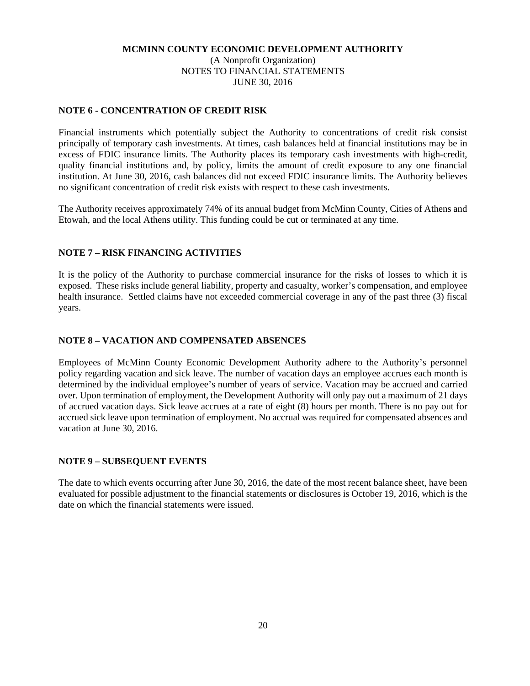(A Nonprofit Organization) NOTES TO FINANCIAL STATEMENTS JUNE 30, 2016

## **NOTE 6 - CONCENTRATION OF CREDIT RISK**

Financial instruments which potentially subject the Authority to concentrations of credit risk consist principally of temporary cash investments. At times, cash balances held at financial institutions may be in excess of FDIC insurance limits. The Authority places its temporary cash investments with high-credit, quality financial institutions and, by policy, limits the amount of credit exposure to any one financial institution. At June 30, 2016, cash balances did not exceed FDIC insurance limits. The Authority believes no significant concentration of credit risk exists with respect to these cash investments.

The Authority receives approximately 74% of its annual budget from McMinn County, Cities of Athens and Etowah, and the local Athens utility. This funding could be cut or terminated at any time.

## **NOTE 7 – RISK FINANCING ACTIVITIES**

It is the policy of the Authority to purchase commercial insurance for the risks of losses to which it is exposed. These risks include general liability, property and casualty, worker's compensation, and employee health insurance. Settled claims have not exceeded commercial coverage in any of the past three (3) fiscal years.

## **NOTE 8 – VACATION AND COMPENSATED ABSENCES**

Employees of McMinn County Economic Development Authority adhere to the Authority's personnel policy regarding vacation and sick leave. The number of vacation days an employee accrues each month is determined by the individual employee's number of years of service. Vacation may be accrued and carried over. Upon termination of employment, the Development Authority will only pay out a maximum of 21 days of accrued vacation days. Sick leave accrues at a rate of eight (8) hours per month. There is no pay out for accrued sick leave upon termination of employment. No accrual was required for compensated absences and vacation at June 30, 2016.

## **NOTE 9 – SUBSEQUENT EVENTS**

The date to which events occurring after June 30, 2016, the date of the most recent balance sheet, have been evaluated for possible adjustment to the financial statements or disclosures is October 19, 2016, which is the date on which the financial statements were issued.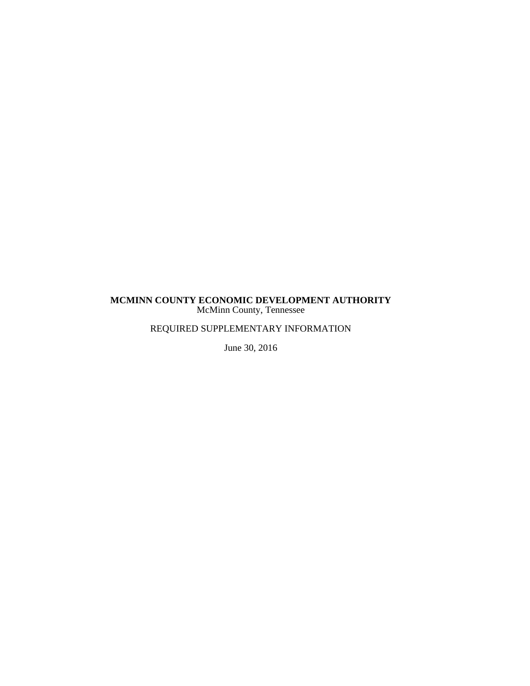# **MCMINN COUNTY ECONOMIC DEVELOPMENT AUTHORITY**  McMinn County, Tennessee

REQUIRED SUPPLEMENTARY INFORMATION

June 30, 2016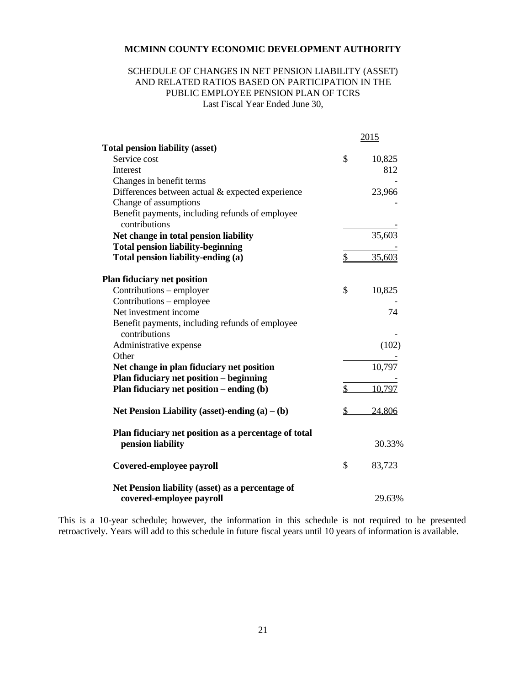# SCHEDULE OF CHANGES IN NET PENSION LIABILITY (ASSET) AND RELATED RATIOS BASED ON PARTICIPATION IN THE PUBLIC EMPLOYEE PENSION PLAN OF TCRS Last Fiscal Year Ended June 30,

|                                                                              | 2015         |
|------------------------------------------------------------------------------|--------------|
| <b>Total pension liability (asset)</b>                                       |              |
| Service cost                                                                 | \$<br>10,825 |
| Interest                                                                     | 812          |
| Changes in benefit terms                                                     |              |
| Differences between actual & expected experience                             | 23,966       |
| Change of assumptions                                                        |              |
| Benefit payments, including refunds of employee<br>contributions             |              |
| Net change in total pension liability                                        | 35,603       |
| <b>Total pension liability-beginning</b>                                     |              |
| Total pension liability-ending (a)                                           | \$<br>35,603 |
| Plan fiduciary net position                                                  |              |
| Contributions - employer                                                     | \$<br>10,825 |
| Contributions – employee                                                     |              |
| Net investment income                                                        | 74           |
| Benefit payments, including refunds of employee<br>contributions             |              |
| Administrative expense                                                       | (102)        |
| Other                                                                        |              |
| Net change in plan fiduciary net position                                    | 10,797       |
| Plan fiduciary net position – beginning                                      |              |
| Plan fiduciary net position – ending (b)                                     | \$<br>10,797 |
| Net Pension Liability (asset)-ending $(a) - (b)$                             | \$<br>24,806 |
| Plan fiduciary net position as a percentage of total<br>pension liability    | 30.33%       |
| Covered-employee payroll                                                     | \$<br>83,723 |
| Net Pension liability (asset) as a percentage of<br>covered-employee payroll | 29.63%       |

This is a 10-year schedule; however, the information in this schedule is not required to be presented retroactively. Years will add to this schedule in future fiscal years until 10 years of information is available.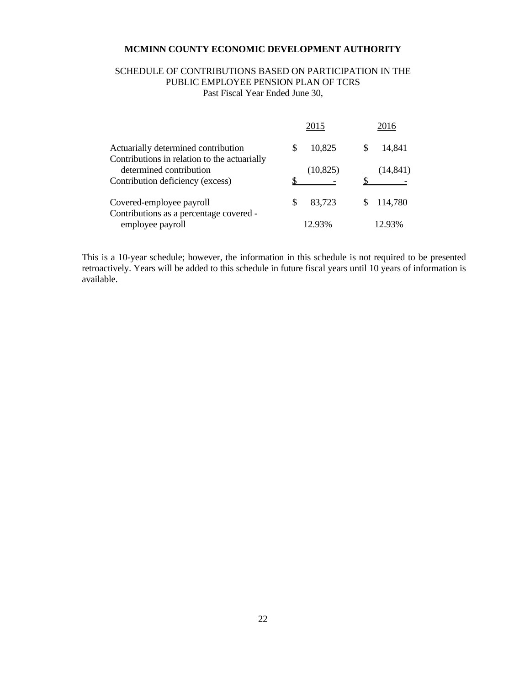# SCHEDULE OF CONTRIBUTIONS BASED ON PARTICIPATION IN THE PUBLIC EMPLOYEE PENSION PLAN OF TCRS Past Fiscal Year Ended June 30,

|                                                                                                             | 2015        | 2016      |
|-------------------------------------------------------------------------------------------------------------|-------------|-----------|
| Actuarially determined contribution                                                                         | 10,825      | 14.841    |
| Contributions in relation to the actuarially<br>determined contribution<br>Contribution deficiency (excess) | (10, 825)   | (14, 841) |
| Covered-employee payroll<br>Contributions as a percentage covered -                                         | 83,723<br>S | 114,780   |
| employee payroll                                                                                            | 12.93%      | 12.93%    |

This is a 10-year schedule; however, the information in this schedule is not required to be presented retroactively. Years will be added to this schedule in future fiscal years until 10 years of information is available.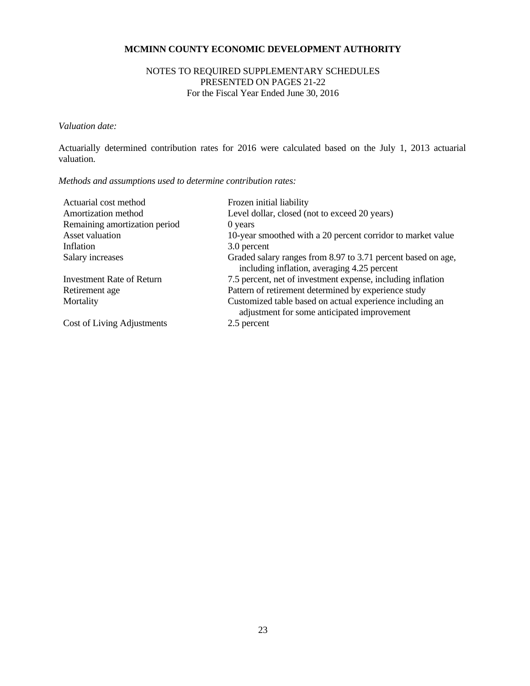# NOTES TO REQUIRED SUPPLEMENTARY SCHEDULES PRESENTED ON PAGES 21-22 For the Fiscal Year Ended June 30, 2016

## *Valuation date:*

Actuarially determined contribution rates for 2016 were calculated based on the July 1, 2013 actuarial valuation.

## *Methods and assumptions used to determine contribution rates:*

| Actuarial cost method            | Frozen initial liability                                                                                    |
|----------------------------------|-------------------------------------------------------------------------------------------------------------|
| Amortization method              | Level dollar, closed (not to exceed 20 years)                                                               |
| Remaining amortization period    | $0$ years                                                                                                   |
| Asset valuation                  | 10-year smoothed with a 20 percent corridor to market value                                                 |
| Inflation                        | 3.0 percent                                                                                                 |
| Salary increases                 | Graded salary ranges from 8.97 to 3.71 percent based on age,<br>including inflation, averaging 4.25 percent |
| <b>Investment Rate of Return</b> | 7.5 percent, net of investment expense, including inflation                                                 |
| Retirement age                   | Pattern of retirement determined by experience study                                                        |
| Mortality                        | Customized table based on actual experience including an<br>adjustment for some anticipated improvement     |
| Cost of Living Adjustments       | 2.5 percent                                                                                                 |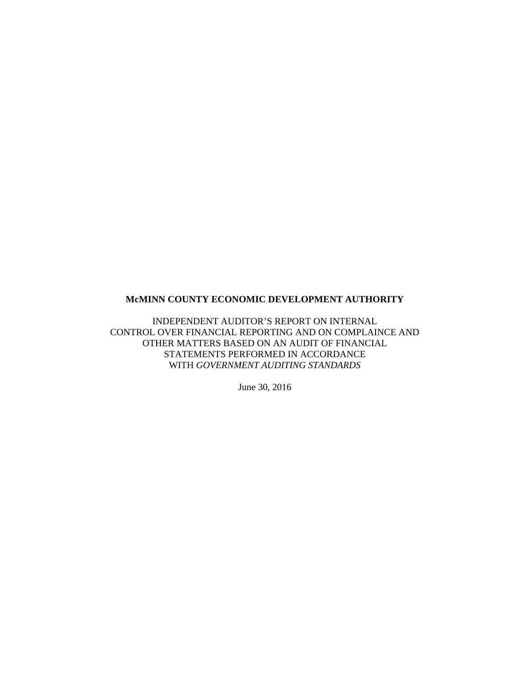INDEPENDENT AUDITOR'S REPORT ON INTERNAL CONTROL OVER FINANCIAL REPORTING AND ON COMPLAINCE AND OTHER MATTERS BASED ON AN AUDIT OF FINANCIAL STATEMENTS PERFORMED IN ACCORDANCE WITH *GOVERNMENT AUDITING STANDARDS* 

June 30, 2016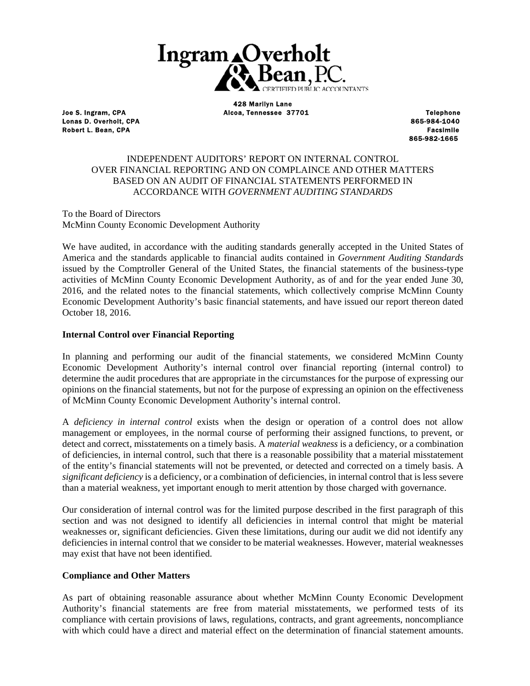

428 Marilyn Lane Joe S. Ingram, CPA **Alcoa, Tennessee 37701** Alcoa, Tennessee 37701

Lonas D. Overholt, CPA 865-984-1040

Robert L. Bean, CPA Facsimile 865-982-1665

# INDEPENDENT AUDITORS' REPORT ON INTERNAL CONTROL OVER FINANCIAL REPORTING AND ON COMPLAINCE AND OTHER MATTERS BASED ON AN AUDIT OF FINANCIAL STATEMENTS PERFORMED IN ACCORDANCE WITH *GOVERNMENT AUDITING STANDARDS*

To the Board of Directors McMinn County Economic Development Authority

We have audited, in accordance with the auditing standards generally accepted in the United States of America and the standards applicable to financial audits contained in *Government Auditing Standards* issued by the Comptroller General of the United States, the financial statements of the business-type activities of McMinn County Economic Development Authority, as of and for the year ended June 30, 2016, and the related notes to the financial statements, which collectively comprise McMinn County Economic Development Authority's basic financial statements, and have issued our report thereon dated October 18, 2016.

# **Internal Control over Financial Reporting**

In planning and performing our audit of the financial statements, we considered McMinn County Economic Development Authority's internal control over financial reporting (internal control) to determine the audit procedures that are appropriate in the circumstances for the purpose of expressing our opinions on the financial statements, but not for the purpose of expressing an opinion on the effectiveness of McMinn County Economic Development Authority's internal control.

A *deficiency in internal control* exists when the design or operation of a control does not allow management or employees, in the normal course of performing their assigned functions, to prevent, or detect and correct, misstatements on a timely basis. A *material weakness* is a deficiency, or a combination of deficiencies, in internal control, such that there is a reasonable possibility that a material misstatement of the entity's financial statements will not be prevented, or detected and corrected on a timely basis. A *significant deficiency* is a deficiency, or a combination of deficiencies, in internal control that is less severe than a material weakness, yet important enough to merit attention by those charged with governance.

Our consideration of internal control was for the limited purpose described in the first paragraph of this section and was not designed to identify all deficiencies in internal control that might be material weaknesses or, significant deficiencies. Given these limitations, during our audit we did not identify any deficiencies in internal control that we consider to be material weaknesses. However, material weaknesses may exist that have not been identified.

# **Compliance and Other Matters**

As part of obtaining reasonable assurance about whether McMinn County Economic Development Authority's financial statements are free from material misstatements, we performed tests of its compliance with certain provisions of laws, regulations, contracts, and grant agreements, noncompliance with which could have a direct and material effect on the determination of financial statement amounts.